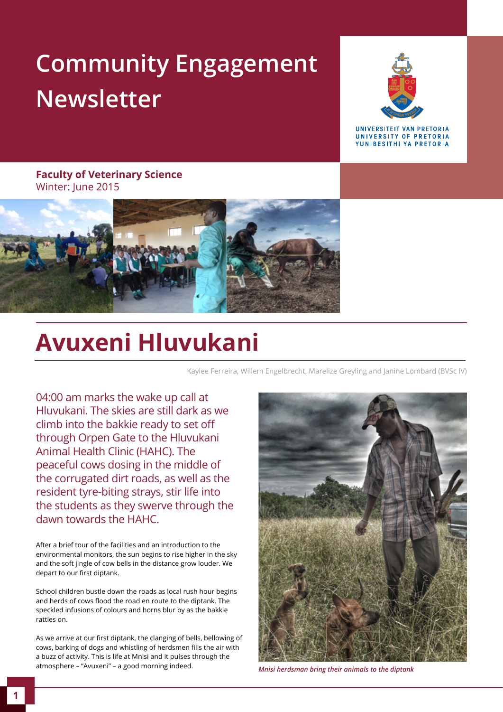### **Community Engagement Newsletter**



**IINIVERSITEIT VAN PRETORIA** UNIVERSITY OF PRETORIA YUNIBESITHI YA PRETORIA

**Faculty of Veterinary Science**  Winter: June 2015



### **Avuxeni Hluvukani**

Kaylee Ferreira, Willem Engelbrecht, Marelize Greyling and Janine Lombard (BVSc IV)

04:00 am marks the wake up call at Hluvukani. The skies are still dark as we climb into the bakkie ready to set off through Orpen Gate to the Hluvukani Animal Health Clinic (HAHC). The peaceful cows dosing in the middle of the corrugated dirt roads, as well as the resident tyre-biting strays, stir life into the students as they swerve through the dawn towards the HAHC.

After a brief tour of the facilities and an introduction to the environmental monitors, the sun begins to rise higher in the sky and the soft jingle of cow bells in the distance grow louder. We depart to our first diptank.

School children bustle down the roads as local rush hour begins and herds of cows flood the road en route to the diptank. The speckled infusions of colours and horns blur by as the bakkie rattles on.

As we arrive at our first diptank, the clanging of bells, bellowing of cows, barking of dogs and whistling of herdsmen fills the air with a buzz of activity. This is life at Mnisi and it pulses through the atmosphere – "Avuxeni" – a good morning indeed.



*Mnisi herdsman bring their animals to the diptank*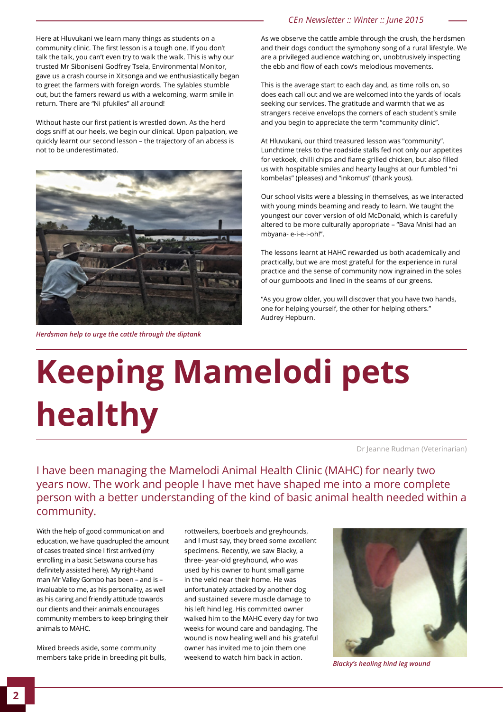Here at Hluvukani we learn many things as students on a community clinic. The first lesson is a tough one. If you don't talk the talk, you can't even try to walk the walk. This is why our trusted Mr Siboniseni Godfrey Tsela, Environmental Monitor, gave us a crash course in Xitsonga and we enthusiastically began to greet the farmers with foreign words. The sylables stumble out, but the famers reward us with a welcoming, warm smile in return. There are "Ni pfukiles" all around!

Without haste our first patient is wrestled down. As the herd dogs sniff at our heels, we begin our clinical. Upon palpation, we quickly learnt our second lesson – the trajectory of an abcess is not to be underestimated.



*Herdsman help to urge the cattle through the diptank*

#### *CEn Newsletter :: Winter :: June 2015*

As we observe the cattle amble through the crush, the herdsmen and their dogs conduct the symphony song of a rural lifestyle. We are a privileged audience watching on, unobtrusively inspecting the ebb and flow of each cow's melodious movements.

This is the average start to each day and, as time rolls on, so does each call out and we are welcomed into the yards of locals seeking our services. The gratitude and warmth that we as strangers receive envelops the corners of each student's smile and you begin to appreciate the term "community clinic".

At Hluvukani, our third treasured lesson was "community". Lunchtime treks to the roadside stalls fed not only our appetites for vetkoek, chilli chips and flame grilled chicken, but also filled us with hospitable smiles and hearty laughs at our fumbled "ni kombelas" (pleases) and "inkomus" (thank yous).

Our school visits were a blessing in themselves, as we interacted with young minds beaming and ready to learn. We taught the youngest our cover version of old McDonald, which is carefully altered to be more culturally appropriate – "Bava Mnisi had an mbyana- e-i-e-i-oh!".

The lessons learnt at HAHC rewarded us both academically and practically, but we are most grateful for the experience in rural practice and the sense of community now ingrained in the soles of our gumboots and lined in the seams of our greens.

"As you grow older, you will discover that you have two hands, one for helping yourself, the other for helping others." Audrey Hepburn.

# **Keeping Mamelodi pets healthy**

Dr Jeanne Rudman (Veterinarian)

I have been managing the Mamelodi Animal Health Clinic (MAHC) for nearly two years now. The work and people I have met have shaped me into a more complete person with a better understanding of the kind of basic animal health needed within a community.

With the help of good communication and education, we have quadrupled the amount of cases treated since I first arrived (my enrolling in a basic Setswana course has definitely assisted here). My right-hand man Mr Valley Gombo has been – and is – invaluable to me, as his personality, as well as his caring and friendly attitude towards our clients and their animals encourages community members to keep bringing their animals to MAHC.

Mixed breeds aside, some community members take pride in breeding pit bulls,

rottweilers, boerboels and greyhounds, and I must say, they breed some excellent specimens. Recently, we saw Blacky, a three- year-old greyhound, who was used by his owner to hunt small game in the veld near their home. He was unfortunately attacked by another dog and sustained severe muscle damage to his left hind leg. His committed owner walked him to the MAHC every day for two weeks for wound care and bandaging. The wound is now healing well and his grateful owner has invited me to join them one weekend to watch him back in action.



*Blacky's healing hind leg wound*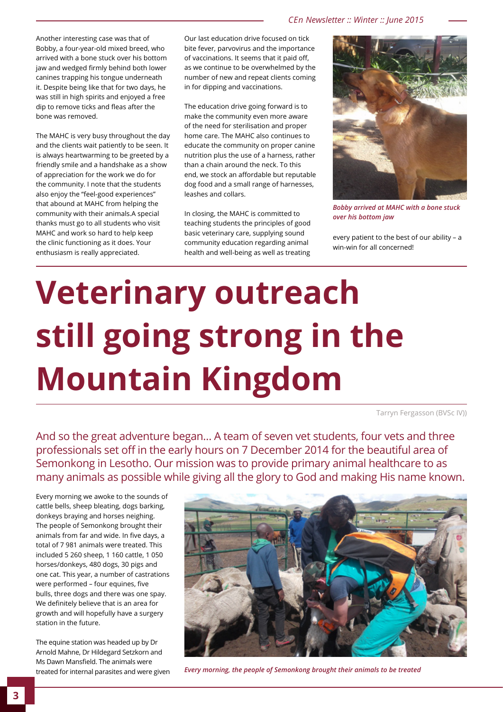Another interesting case was that of Bobby, a four-year-old mixed breed, who arrived with a bone stuck over his bottom jaw and wedged firmly behind both lower canines trapping his tongue underneath it. Despite being like that for two days, he was still in high spirits and enjoyed a free dip to remove ticks and fleas after the bone was removed.

The MAHC is very busy throughout the day and the clients wait patiently to be seen. It is always heartwarming to be greeted by a friendly smile and a handshake as a show of appreciation for the work we do for the community. I note that the students also enjoy the "feel-good experiences" that abound at MAHC from helping the community with their animals.A special thanks must go to all students who visit MAHC and work so hard to help keep the clinic functioning as it does. Your enthusiasm is really appreciated.

Our last education drive focused on tick bite fever, parvovirus and the importance of vaccinations. It seems that it paid off, as we continue to be overwhelmed by the number of new and repeat clients coming in for dipping and vaccinations.

The education drive going forward is to make the community even more aware of the need for sterilisation and proper home care. The MAHC also continues to educate the community on proper canine nutrition plus the use of a harness, rather than a chain around the neck. To this end, we stock an affordable but reputable dog food and a small range of harnesses, leashes and collars.

In closing, the MAHC is committed to teaching students the principles of good basic veterinary care, supplying sound community education regarding animal health and well-being as well as treating



*Bobby arrived at MAHC with a bone stuck over his bottom jaw*

every patient to the best of our ability – a win-win for all concerned!

## **Veterinary outreach still going strong in the Mountain Kingdom**

Tarryn Fergasson (BVSc IV))

And so the great adventure began… A team of seven vet students, four vets and three professionals set off in the early hours on 7 December 2014 for the beautiful area of Semonkong in Lesotho. Our mission was to provide primary animal healthcare to as many animals as possible while giving all the glory to God and making His name known.

Every morning we awoke to the sounds of cattle bells, sheep bleating, dogs barking, donkeys braying and horses neighing. The people of Semonkong brought their animals from far and wide. In five days, a total of 7 981 animals were treated. This included 5 260 sheep, 1 160 cattle, 1 050 horses/donkeys, 480 dogs, 30 pigs and one cat. This year, a number of castrations were performed – four equines, five bulls, three dogs and there was one spay. We definitely believe that is an area for growth and will hopefully have a surgery station in the future.

The equine station was headed up by Dr Arnold Mahne, Dr Hildegard Setzkorn and Ms Dawn Mansfield. The animals were



treated for internal parasites and were given *Every morning, the people of Semonkong brought their animals to be treated*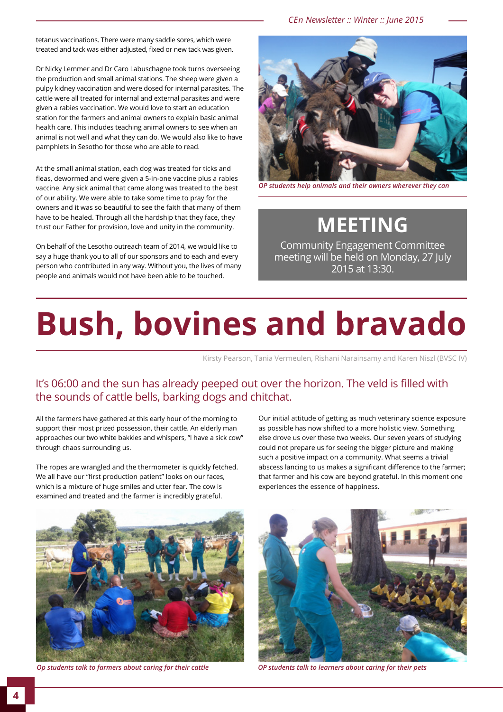*CEn Newsletter :: Winter :: June 2015*

tetanus vaccinations. There were many saddle sores, which were treated and tack was either adjusted, fixed or new tack was given.

Dr Nicky Lemmer and Dr Caro Labuschagne took turns overseeing the production and small animal stations. The sheep were given a pulpy kidney vaccination and were dosed for internal parasites. The cattle were all treated for internal and external parasites and were given a rabies vaccination. We would love to start an education station for the farmers and animal owners to explain basic animal health care. This includes teaching animal owners to see when an animal is not well and what they can do. We would also like to have pamphlets in Sesotho for those who are able to read.

At the small animal station, each dog was treated for ticks and fleas, dewormed and were given a 5-in-one vaccine plus a rabies vaccine. Any sick animal that came along was treated to the best of our ability. We were able to take some time to pray for the owners and it was so beautiful to see the faith that many of them have to be healed. Through all the hardship that they face, they trust our Father for provision, love and unity in the community.

On behalf of the Lesotho outreach team of 2014, we would like to say a huge thank you to all of our sponsors and to each and every person who contributed in any way. Without you, the lives of many people and animals would not have been able to be touched.



*OP students help animals and their owners wherever they can*

### **MEETING**

Community Engagement Committee meeting will be held on Monday, 27 July 2015 at 13:30.

## **Bush, bovines and bravado**

Kirsty Pearson, Tania Vermeulen, Rishani Narainsamy and Karen Niszl (BVSC IV)

#### It's 06:00 and the sun has already peeped out over the horizon. The veld is filled with the sounds of cattle bells, barking dogs and chitchat.

All the farmers have gathered at this early hour of the morning to support their most prized possession, their cattle. An elderly man approaches our two white bakkies and whispers, "I have a sick cow" through chaos surrounding us.

The ropes are wrangled and the thermometer is quickly fetched. We all have our "first production patient" looks on our faces, which is a mixture of huge smiles and utter fear. The cow is examined and treated and the farmer is incredibly grateful.

Our initial attitude of getting as much veterinary science exposure as possible has now shifted to a more holistic view. Something else drove us over these two weeks. Our seven years of studying could not prepare us for seeing the bigger picture and making such a positive impact on a community. What seems a trivial abscess lancing to us makes a significant difference to the farmer; that farmer and his cow are beyond grateful. In this moment one experiences the essence of happiness.



![](_page_3_Picture_17.jpeg)

*Op students talk to farmers about caring for their cattle OP students talk to learners about caring for their pets*